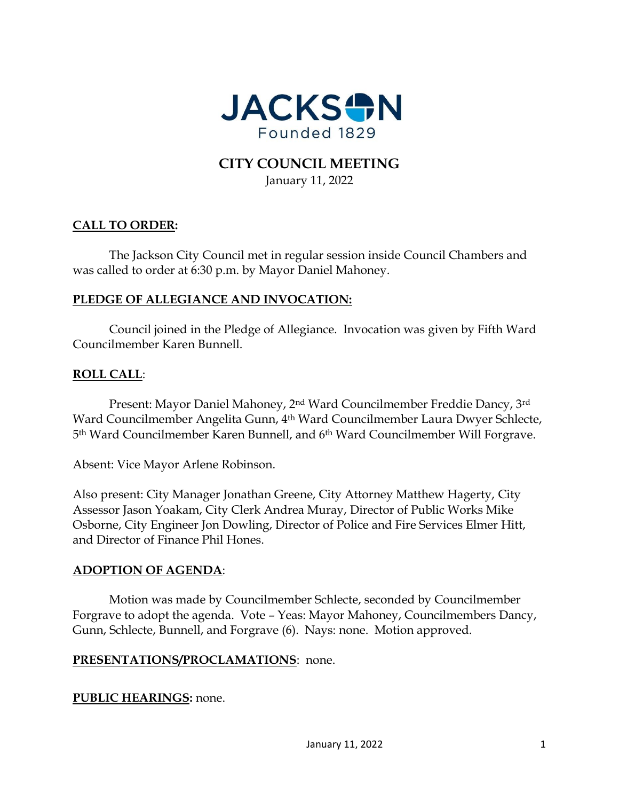

# **CITY COUNCIL MEETING** January 11, 2022

# **CALL TO ORDER:**

The Jackson City Council met in regular session inside Council Chambers and was called to order at 6:30 p.m. by Mayor Daniel Mahoney.

# **PLEDGE OF ALLEGIANCE AND INVOCATION:**

Council joined in the Pledge of Allegiance. Invocation was given by Fifth Ward Councilmember Karen Bunnell.

#### **ROLL CALL**:

Present: Mayor Daniel Mahoney, 2nd Ward Councilmember Freddie Dancy, 3rd Ward Councilmember Angelita Gunn, 4th Ward Councilmember Laura Dwyer Schlecte, 5th Ward Councilmember Karen Bunnell, and 6th Ward Councilmember Will Forgrave.

Absent: Vice Mayor Arlene Robinson.

Also present: City Manager Jonathan Greene, City Attorney Matthew Hagerty, City Assessor Jason Yoakam, City Clerk Andrea Muray, Director of Public Works Mike Osborne, City Engineer Jon Dowling, Director of Police and Fire Services Elmer Hitt, and Director of Finance Phil Hones.

#### **ADOPTION OF AGENDA**:

Motion was made by Councilmember Schlecte, seconded by Councilmember Forgrave to adopt the agenda. Vote – Yeas: Mayor Mahoney, Councilmembers Dancy, Gunn, Schlecte, Bunnell, and Forgrave (6). Nays: none. Motion approved.

#### **PRESENTATIONS/PROCLAMATIONS**: none.

**PUBLIC HEARINGS:** none.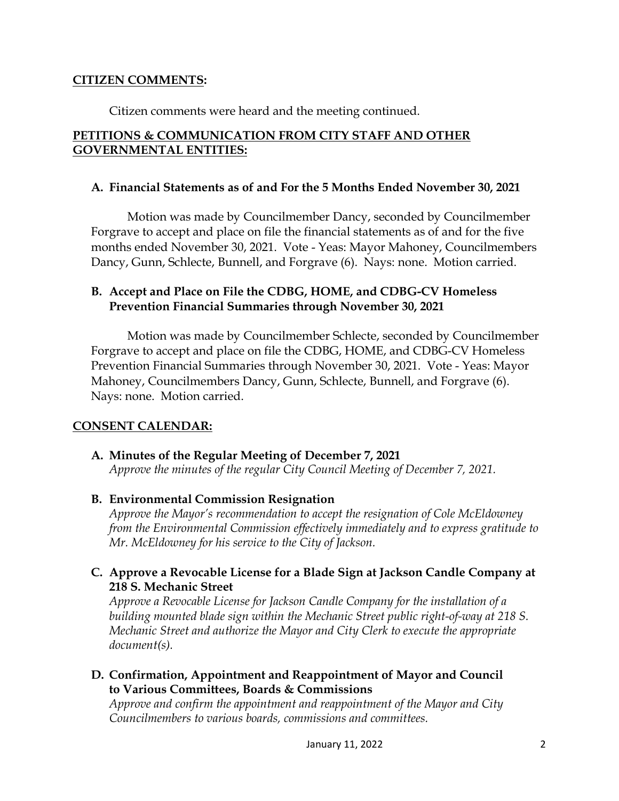#### **CITIZEN COMMENTS:**

Citizen comments were heard and the meeting continued.

# **PETITIONS & COMMUNICATION FROM CITY STAFF AND OTHER GOVERNMENTAL ENTITIES:**

#### **A. Financial Statements as of and For the 5 Months Ended November 30, 2021**

Motion was made by Councilmember Dancy, seconded by Councilmember Forgrave to accept and place on file the financial statements as of and for the five months ended November 30, 2021. Vote - Yeas: Mayor Mahoney, Councilmembers Dancy, Gunn, Schlecte, Bunnell, and Forgrave (6). Nays: none. Motion carried.

### **B. Accept and Place on File the CDBG, HOME, and CDBG-CV Homeless Prevention Financial Summaries through November 30, 2021**

Motion was made by Councilmember Schlecte, seconded by Councilmember Forgrave to accept and place on file the CDBG, HOME, and CDBG-CV Homeless Prevention Financial Summaries through November 30, 2021. Vote - Yeas: Mayor Mahoney, Councilmembers Dancy, Gunn, Schlecte, Bunnell, and Forgrave (6). Nays: none. Motion carried.

# **CONSENT CALENDAR:**

# **A. Minutes of the Regular Meeting of December 7, 2021**

*Approve the minutes of the regular City Council Meeting of December 7, 2021.*

# **B. Environmental Commission Resignation**

*Approve the Mayor's recommendation to accept the resignation of Cole McEldowney from the Environmental Commission effectively immediately and to express gratitude to Mr. McEldowney for his service to the City of Jackson.* 

**C. Approve a Revocable License for a Blade Sign at Jackson Candle Company at 218 S. Mechanic Street**

*Approve a Revocable License for Jackson Candle Company for the installation of a building mounted blade sign within the Mechanic Street public right-of-way at 218 S. Mechanic Street and authorize the Mayor and City Clerk to execute the appropriate document(s).* 

# **D. Confirmation, Appointment and Reappointment of Mayor and Council to Various Committees, Boards & Commissions**

*Approve and confirm the appointment and reappointment of the Mayor and City Councilmembers to various boards, commissions and committees.*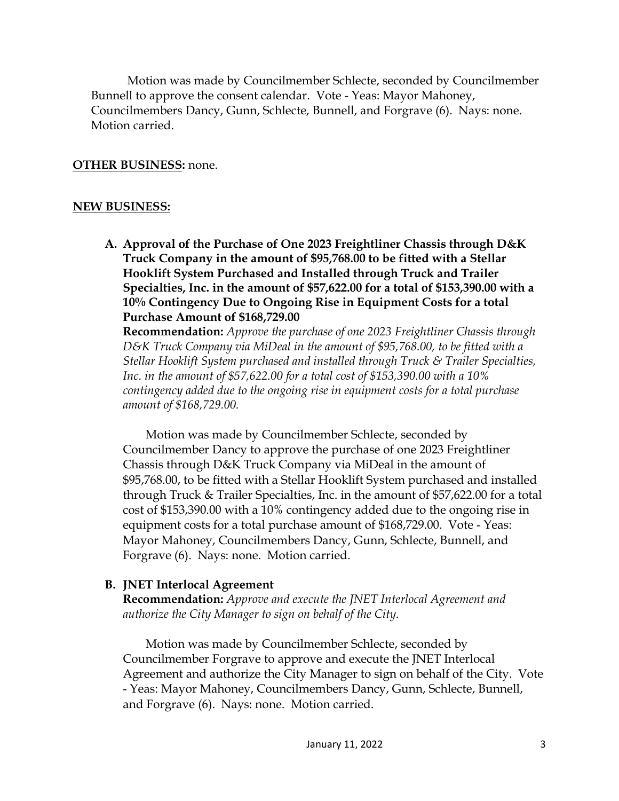Motion was made by Councilmember Schlecte, seconded by Councilmember Bunnell to approve the consent calendar. Vote - Yeas: Mayor Mahoney, Councilmembers Dancy, Gunn, Schlecte, Bunnell, and Forgrave (6). Nays: none. Motion carried.

#### **OTHER BUSINESS:** none.

#### **NEW BUSINESS:**

**A. Approval of the Purchase of One 2023 Freightliner Chassis through D&K Truck Company in the amount of \$95,768.00 to be fitted with a Stellar Hooklift System Purchased and Installed through Truck and Trailer Specialties, Inc. in the amount of \$57,622.00 for a total of \$153,390.00 with a 10% Contingency Due to Ongoing Rise in Equipment Costs for a total Purchase Amount of \$168,729.00**

**Recommendation:** *Approve the purchase of one 2023 Freightliner Chassis through D&K Truck Company via MiDeal in the amount of \$95,768.00, to be fitted with a Stellar Hooklift System purchased and installed through Truck & Trailer Specialties, Inc. in the amount of \$57,622.00 for a total cost of \$153,390.00 with a 10% contingency added due to the ongoing rise in equipment costs for a total purchase amount of \$168,729.00.* 

Motion was made by Councilmember Schlecte, seconded by Councilmember Dancy to approve the purchase of one 2023 Freightliner Chassis through D&K Truck Company via MiDeal in the amount of \$95,768.00, to be fitted with a Stellar Hooklift System purchased and installed through Truck & Trailer Specialties, Inc. in the amount of \$57,622.00 for a total cost of \$153,390.00 with a 10% contingency added due to the ongoing rise in equipment costs for a total purchase amount of \$168,729.00. Vote - Yeas: Mayor Mahoney, Councilmembers Dancy, Gunn, Schlecte, Bunnell, and Forgrave (6). Nays: none. Motion carried.

#### **B. JNET Interlocal Agreement**

**Recommendation:** *Approve and execute the JNET Interlocal Agreement and authorize the City Manager to sign on behalf of the City.* 

Motion was made by Councilmember Schlecte, seconded by Councilmember Forgrave to approve and execute the JNET Interlocal Agreement and authorize the City Manager to sign on behalf of the City. Vote - Yeas: Mayor Mahoney, Councilmembers Dancy, Gunn, Schlecte, Bunnell, and Forgrave (6). Nays: none. Motion carried.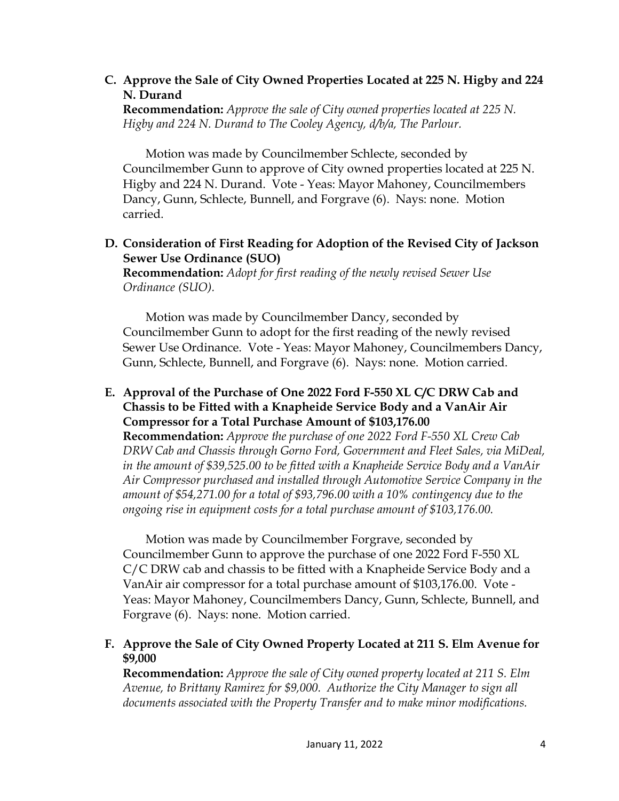# **C. Approve the Sale of City Owned Properties Located at 225 N. Higby and 224 N. Durand**

**Recommendation:** *Approve the sale of City owned properties located at 225 N. Higby and 224 N. Durand to The Cooley Agency, d/b/a, The Parlour.* 

Motion was made by Councilmember Schlecte, seconded by Councilmember Gunn to approve of City owned properties located at 225 N. Higby and 224 N. Durand. Vote - Yeas: Mayor Mahoney, Councilmembers Dancy, Gunn, Schlecte, Bunnell, and Forgrave (6). Nays: none. Motion carried.

# **D. Consideration of First Reading for Adoption of the Revised City of Jackson Sewer Use Ordinance (SUO)**

**Recommendation:** *Adopt for first reading of the newly revised Sewer Use Ordinance (SUO).* 

Motion was made by Councilmember Dancy, seconded by Councilmember Gunn to adopt for the first reading of the newly revised Sewer Use Ordinance. Vote - Yeas: Mayor Mahoney, Councilmembers Dancy, Gunn, Schlecte, Bunnell, and Forgrave (6). Nays: none. Motion carried.

#### **E. Approval of the Purchase of One 2022 Ford F-550 XL C/C DRW Cab and Chassis to be Fitted with a Knapheide Service Body and a VanAir Air Compressor for a Total Purchase Amount of \$103,176.00**

**Recommendation:** *Approve the purchase of one 2022 Ford F-550 XL Crew Cab DRW Cab and Chassis through Gorno Ford, Government and Fleet Sales, via MiDeal, in the amount of \$39,525.00 to be fitted with a Knapheide Service Body and a VanAir Air Compressor purchased and installed through Automotive Service Company in the amount of \$54,271.00 for a total of \$93,796.00 with a 10% contingency due to the ongoing rise in equipment costs for a total purchase amount of \$103,176.00.* 

Motion was made by Councilmember Forgrave, seconded by Councilmember Gunn to approve the purchase of one 2022 Ford F-550 XL C/C DRW cab and chassis to be fitted with a Knapheide Service Body and a VanAir air compressor for a total purchase amount of \$103,176.00. Vote - Yeas: Mayor Mahoney, Councilmembers Dancy, Gunn, Schlecte, Bunnell, and Forgrave (6). Nays: none. Motion carried.

# **F. Approve the Sale of City Owned Property Located at 211 S. Elm Avenue for \$9,000**

**Recommendation:** *Approve the sale of City owned property located at 211 S. Elm Avenue, to Brittany Ramirez for \$9,000. Authorize the City Manager to sign all documents associated with the Property Transfer and to make minor modifications.*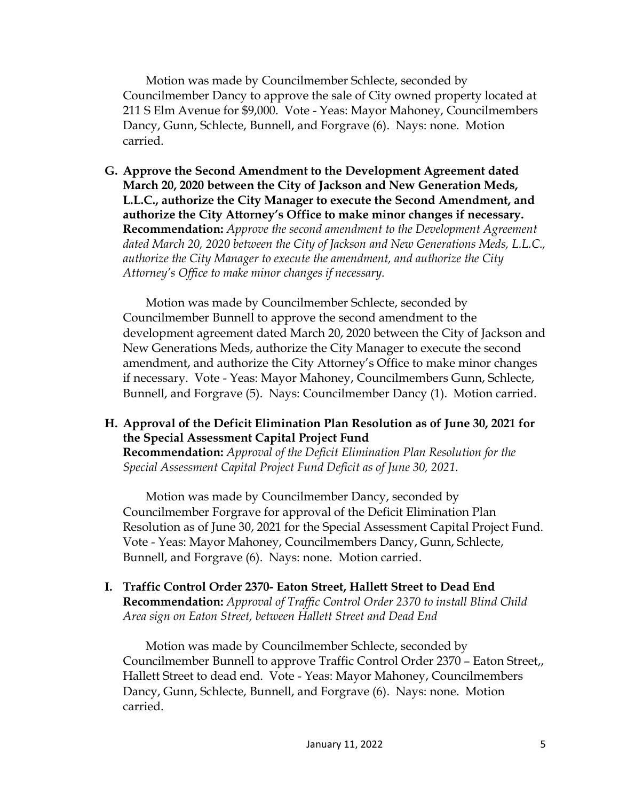Motion was made by Councilmember Schlecte, seconded by Councilmember Dancy to approve the sale of City owned property located at 211 S Elm Avenue for \$9,000. Vote - Yeas: Mayor Mahoney, Councilmembers Dancy, Gunn, Schlecte, Bunnell, and Forgrave (6). Nays: none. Motion carried.

**G. Approve the Second Amendment to the Development Agreement dated March 20, 2020 between the City of Jackson and New Generation Meds, L.L.C., authorize the City Manager to execute the Second Amendment, and authorize the City Attorney's Office to make minor changes if necessary. Recommendation:** *Approve the second amendment to the Development Agreement dated March 20, 2020 between the City of Jackson and New Generations Meds, L.L.C., authorize the City Manager to execute the amendment, and authorize the City Attorney's Office to make minor changes if necessary.* 

Motion was made by Councilmember Schlecte, seconded by Councilmember Bunnell to approve the second amendment to the development agreement dated March 20, 2020 between the City of Jackson and New Generations Meds, authorize the City Manager to execute the second amendment, and authorize the City Attorney's Office to make minor changes if necessary. Vote - Yeas: Mayor Mahoney, Councilmembers Gunn, Schlecte, Bunnell, and Forgrave (5). Nays: Councilmember Dancy (1). Motion carried.

**H. Approval of the Deficit Elimination Plan Resolution as of June 30, 2021 for the Special Assessment Capital Project Fund** 

**Recommendation:** *Approval of the Deficit Elimination Plan Resolution for the Special Assessment Capital Project Fund Deficit as of June 30, 2021.* 

Motion was made by Councilmember Dancy, seconded by Councilmember Forgrave for approval of the Deficit Elimination Plan Resolution as of June 30, 2021 for the Special Assessment Capital Project Fund. Vote - Yeas: Mayor Mahoney, Councilmembers Dancy, Gunn, Schlecte, Bunnell, and Forgrave (6). Nays: none. Motion carried.

**I. Traffic Control Order 2370- Eaton Street, Hallett Street to Dead End Recommendation:** *Approval of Traffic Control Order 2370 to install Blind Child Area sign on Eaton Street, between Hallett Street and Dead End* 

Motion was made by Councilmember Schlecte, seconded by Councilmember Bunnell to approve Traffic Control Order 2370 – Eaton Street,, Hallett Street to dead end. Vote - Yeas: Mayor Mahoney, Councilmembers Dancy, Gunn, Schlecte, Bunnell, and Forgrave (6). Nays: none. Motion carried.